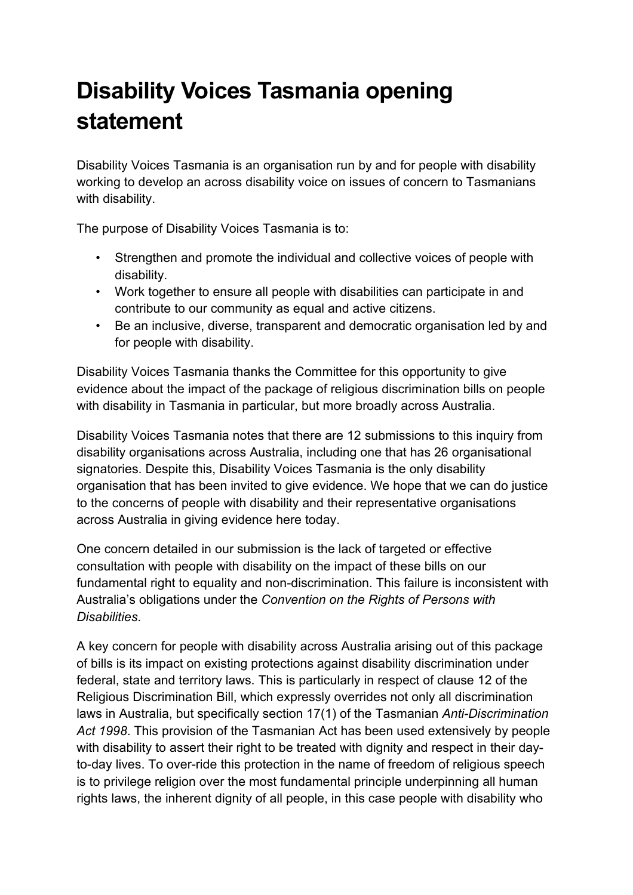## **Disability Voices Tasmania opening statement**

Disability Voices Tasmania is an organisation run by and for people with disability working to develop an across disability voice on issues of concern to Tasmanians with disability.

The purpose of Disability Voices Tasmania is to:

- Strengthen and promote the individual and collective voices of people with disability.
- Work together to ensure all people with disabilities can participate in and contribute to our community as equal and active citizens.
- Be an inclusive, diverse, transparent and democratic organisation led by and for people with disability.

Disability Voices Tasmania thanks the Committee for this opportunity to give evidence about the impact of the package of religious discrimination bills on people with disability in Tasmania in particular, but more broadly across Australia.

Disability Voices Tasmania notes that there are 12 submissions to this inquiry from disability organisations across Australia, including one that has 26 organisational signatories. Despite this, Disability Voices Tasmania is the only disability organisation that has been invited to give evidence. We hope that we can do justice to the concerns of people with disability and their representative organisations across Australia in giving evidence here today.

One concern detailed in our submission is the lack of targeted or effective consultation with people with disability on the impact of these bills on our fundamental right to equality and non-discrimination. This failure is inconsistent with Australia's obligations under the *Convention on the Rights of Persons with Disabilities*.

A key concern for people with disability across Australia arising out of this package of bills is its impact on existing protections against disability discrimination under federal, state and territory laws. This is particularly in respect of clause 12 of the Religious Discrimination Bill, which expressly overrides not only all discrimination laws in Australia, but specifically section 17(1) of the Tasmanian *Anti-Discrimination Act 1998*. This provision of the Tasmanian Act has been used extensively by people with disability to assert their right to be treated with dignity and respect in their dayto-day lives. To over-ride this protection in the name of freedom of religious speech is to privilege religion over the most fundamental principle underpinning all human rights laws, the inherent dignity of all people, in this case people with disability who